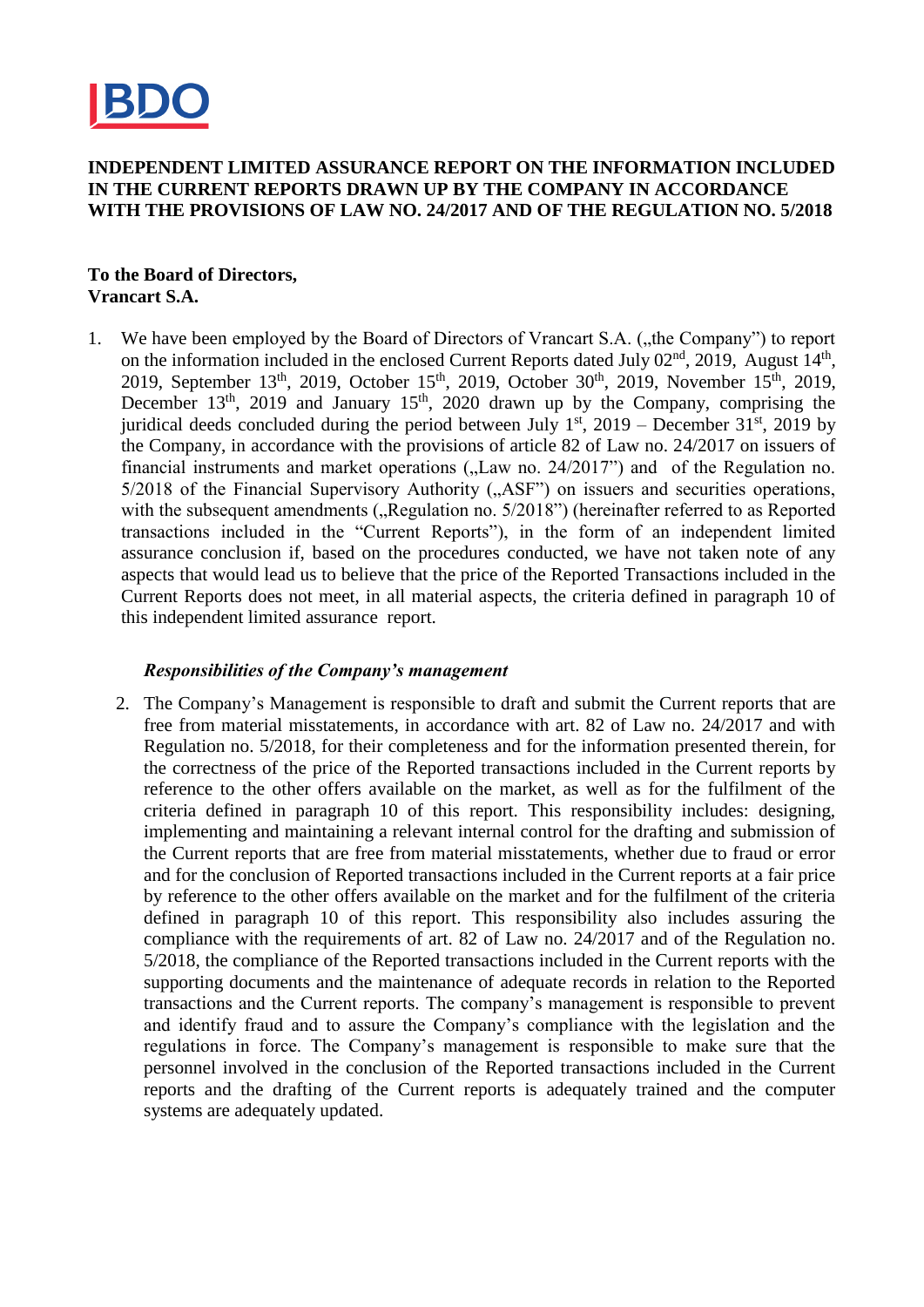

#### **INDEPENDENT LIMITED ASSURANCE REPORT ON THE INFORMATION INCLUDED IN THE CURRENT REPORTS DRAWN UP BY THE COMPANY IN ACCORDANCE WITH THE PROVISIONS OF LAW NO. 24/2017 AND OF THE REGULATION NO. 5/2018**

## **To the Board of Directors, Vrancart S.A.**

1. We have been employed by the Board of Directors of Vrancart S.A. ("the Company") to report on the information included in the enclosed Current Reports dated July  $02<sup>nd</sup>$ , 2019, August  $14<sup>th</sup>$ , 2019, September 13<sup>th</sup>, 2019, October 15<sup>th</sup>, 2019, October 30<sup>th</sup>, 2019, November 15<sup>th</sup>, 2019, December  $13<sup>th</sup>$ , 2019 and January  $15<sup>th</sup>$ , 2020 drawn up by the Company, comprising the juridical deeds concluded during the period between July  $1<sup>st</sup>$ , 2019 – December 31<sup>st</sup>, 2019 by the Company, in accordance with the provisions of article 82 of Law no. 24/2017 on issuers of financial instruments and market operations  $($ "Law no. 24/2017") and of the Regulation no. 5/2018 of the Financial Supervisory Authority ("ASF") on issuers and securities operations, with the subsequent amendments  $($ , Regulation no.  $5/2018$ " $)$  (hereinafter referred to as Reported transactions included in the "Current Reports"), in the form of an independent limited assurance conclusion if, based on the procedures conducted, we have not taken note of any aspects that would lead us to believe that the price of the Reported Transactions included in the Current Reports does not meet, in all material aspects, the criteria defined in paragraph 10 of this independent limited assurance report.

#### *Responsibilities of the Company's management*

2. The Company's Management is responsible to draft and submit the Current reports that are free from material misstatements, in accordance with art. 82 of Law no. 24/2017 and with Regulation no. 5/2018, for their completeness and for the information presented therein, for the correctness of the price of the Reported transactions included in the Current reports by reference to the other offers available on the market, as well as for the fulfilment of the criteria defined in paragraph 10 of this report. This responsibility includes: designing, implementing and maintaining a relevant internal control for the drafting and submission of the Current reports that are free from material misstatements, whether due to fraud or error and for the conclusion of Reported transactions included in the Current reports at a fair price by reference to the other offers available on the market and for the fulfilment of the criteria defined in paragraph 10 of this report. This responsibility also includes assuring the compliance with the requirements of art. 82 of Law no. 24/2017 and of the Regulation no. 5/2018, the compliance of the Reported transactions included in the Current reports with the supporting documents and the maintenance of adequate records in relation to the Reported transactions and the Current reports. The company's management is responsible to prevent and identify fraud and to assure the Company's compliance with the legislation and the regulations in force. The Company's management is responsible to make sure that the personnel involved in the conclusion of the Reported transactions included in the Current reports and the drafting of the Current reports is adequately trained and the computer systems are adequately updated.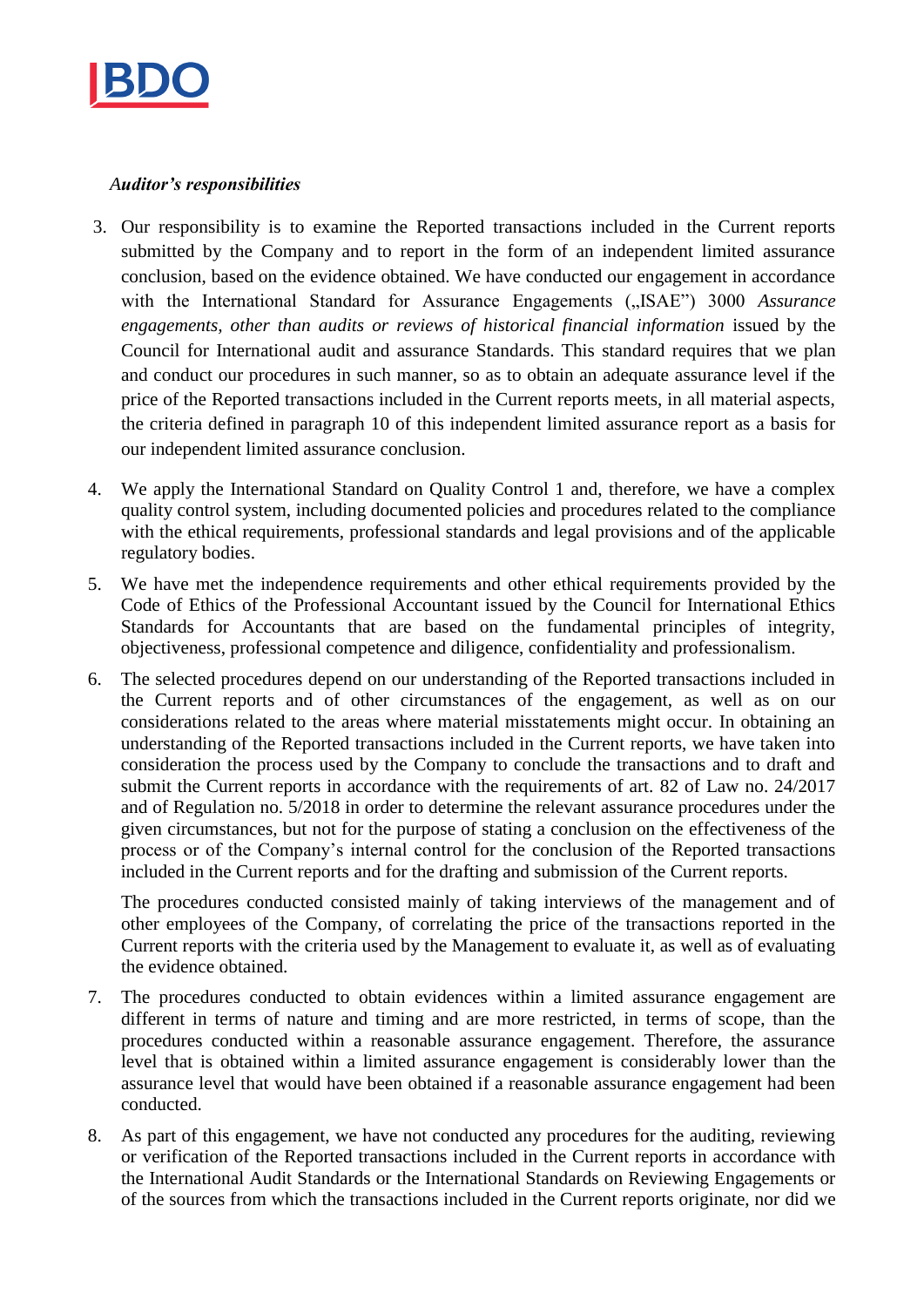

## *Auditor's responsibilities*

- 3. Our responsibility is to examine the Reported transactions included in the Current reports submitted by the Company and to report in the form of an independent limited assurance conclusion, based on the evidence obtained. We have conducted our engagement in accordance with the International Standard for Assurance Engagements ("ISAE") 3000 Assurance engagements, other than audits or reviews of historical financial information issued by the Council for International audit and assurance Standards. This standard requires that we plan and conduct our procedures in such manner, so as to obtain an adequate assurance level if the price of the Reported transactions included in the Current reports meets, in all material aspects, the criteria defined in paragraph 10 of this independent limited assurance report as a basis for our independent limited assurance conclusion.
- 4. We apply the International Standard on Quality Control 1 and, therefore, we have a complex quality control system, including documented policies and procedures related to the compliance with the ethical requirements, professional standards and legal provisions and of the applicable regulatory bodies.
- 5. We have met the independence requirements and other ethical requirements provided by the Code of Ethics of the Professional Accountant issued by the Council for International Ethics Standards for Accountants that are based on the fundamental principles of integrity, objectiveness, professional competence and diligence, confidentiality and professionalism.
- 6. The selected procedures depend on our understanding of the Reported transactions included in the Current reports and of other circumstances of the engagement, as well as on our considerations related to the areas where material misstatements might occur. In obtaining an understanding of the Reported transactions included in the Current reports, we have taken into consideration the process used by the Company to conclude the transactions and to draft and submit the Current reports in accordance with the requirements of art. 82 of Law no. 24/2017 and of Regulation no. 5/2018 in order to determine the relevant assurance procedures under the given circumstances, but not for the purpose of stating a conclusion on the effectiveness of the process or of the Company's internal control for the conclusion of the Reported transactions included in the Current reports and for the drafting and submission of the Current reports.

The procedures conducted consisted mainly of taking interviews of the management and of other employees of the Company, of correlating the price of the transactions reported in the Current reports with the criteria used by the Management to evaluate it, as well as of evaluating the evidence obtained.

- 7. The procedures conducted to obtain evidences within a limited assurance engagement are different in terms of nature and timing and are more restricted, in terms of scope, than the procedures conducted within a reasonable assurance engagement. Therefore, the assurance level that is obtained within a limited assurance engagement is considerably lower than the assurance level that would have been obtained if a reasonable assurance engagement had been conducted.
- 8. As part of this engagement, we have not conducted any procedures for the auditing, reviewing or verification of the Reported transactions included in the Current reports in accordance with the International Audit Standards or the International Standards on Reviewing Engagements or of the sources from which the transactions included in the Current reports originate, nor did we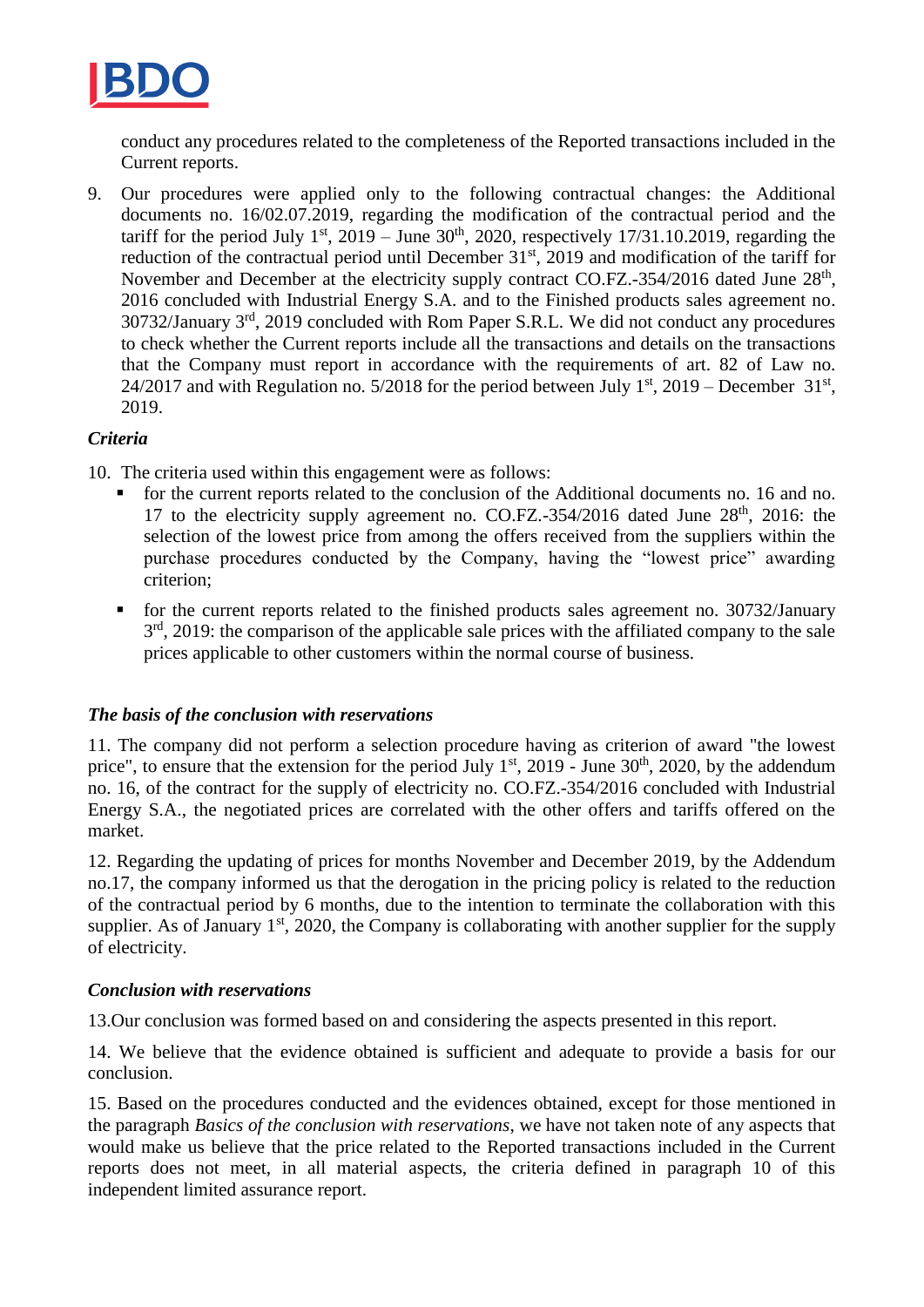

conduct any procedures related to the completeness of the Reported transactions included in the Current reports.

9. Our procedures were applied only to the following contractual changes: the Additional documents no. 16/02.07.2019, regarding the modification of the contractual period and the tariff for the period July 1<sup>st</sup>, 2019 – June 30<sup>th</sup>, 2020, respectively 17/31.10.2019, regarding the reduction of the contractual period until December 31<sup>st</sup>, 2019 and modification of the tariff for November and December at the electricity supply contract CO.FZ.-354/2016 dated June 28<sup>th</sup>, 2016 concluded with Industrial Energy S.A. and to the Finished products sales agreement no. 30732/January 3rd, 2019 concluded with Rom Paper S.R.L. We did not conduct any procedures to check whether the Current reports include all the transactions and details on the transactions that the Company must report in accordance with the requirements of art. 82 of Law no. 24/2017 and with Regulation no. 5/2018 for the period between July  $1<sup>st</sup>$ , 2019 – December 31<sup>st</sup>, 2019.

#### *Criteria*

- 10. The criteria used within this engagement were as follows:
	- for the current reports related to the conclusion of the Additional documents no. 16 and no. 17 to the electricity supply agreement no. CO.FZ.-354/2016 dated June  $28<sup>th</sup>$ , 2016: the selection of the lowest price from among the offers received from the suppliers within the purchase procedures conducted by the Company, having the "lowest price" awarding criterion;
	- for the current reports related to the finished products sales agreement no. 30732/January  $3<sup>rd</sup>$ , 2019: the comparison of the applicable sale prices with the affiliated company to the sale prices applicable to other customers within the normal course of business.

# *The basis of the conclusion with reservations*

11. The company did not perform a selection procedure having as criterion of award "the lowest price", to ensure that the extension for the period July  $1<sup>st</sup>$ , 2019 - June 30<sup>th</sup>, 2020, by the addendum no. 16, of the contract for the supply of electricity no. CO.FZ.-354/2016 concluded with Industrial Energy S.A., the negotiated prices are correlated with the other offers and tariffs offered on the market.

12. Regarding the updating of prices for months November and December 2019, by the Addendum no.17, the company informed us that the derogation in the pricing policy is related to the reduction of the contractual period by 6 months, due to the intention to terminate the collaboration with this supplier. As of January  $1<sup>st</sup>$ , 2020, the Company is collaborating with another supplier for the supply of electricity.

#### *Conclusion with reservations*

13.Our conclusion was formed based on and considering the aspects presented in this report.

14. We believe that the evidence obtained is sufficient and adequate to provide a basis for our conclusion.

15. Based on the procedures conducted and the evidences obtained, except for those mentioned in the paragraph *Basics of the conclusion with reservations*, we have not taken note of any aspects that would make us believe that the price related to the Reported transactions included in the Current reports does not meet, in all material aspects, the criteria defined in paragraph 10 of this independent limited assurance report.